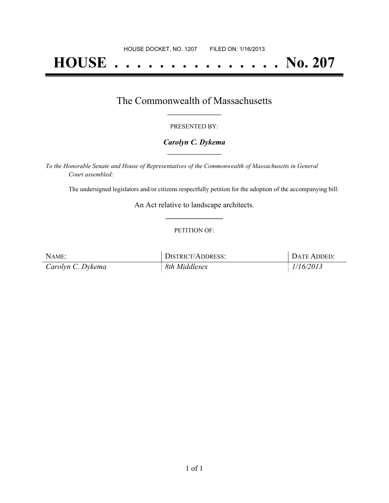# **HOUSE . . . . . . . . . . . . . . . No. 207**

## The Commonwealth of Massachusetts **\_\_\_\_\_\_\_\_\_\_\_\_\_\_\_\_\_**

#### PRESENTED BY:

#### *Carolyn C. Dykema* **\_\_\_\_\_\_\_\_\_\_\_\_\_\_\_\_\_**

*To the Honorable Senate and House of Representatives of the Commonwealth of Massachusetts in General Court assembled:*

The undersigned legislators and/or citizens respectfully petition for the adoption of the accompanying bill:

An Act relative to landscape architects. **\_\_\_\_\_\_\_\_\_\_\_\_\_\_\_**

#### PETITION OF:

| NAME:             | <b>DISTRICT/ADDRESS:</b> | DATE ADDED: |
|-------------------|--------------------------|-------------|
| Carolyn C. Dykema | 8th Middlesex            | 1/16/2013   |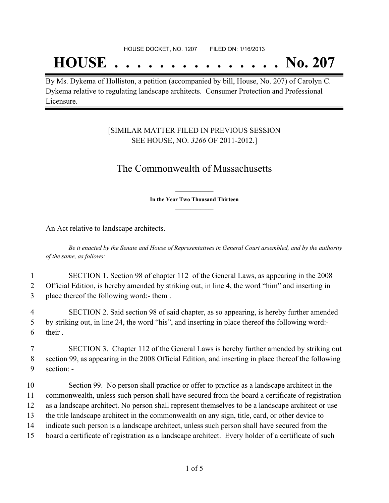## **HOUSE . . . . . . . . . . . . . . . No. 207**

By Ms. Dykema of Holliston, a petition (accompanied by bill, House, No. 207) of Carolyn C. Dykema relative to regulating landscape architects. Consumer Protection and Professional Licensure.

### [SIMILAR MATTER FILED IN PREVIOUS SESSION SEE HOUSE, NO. *3266* OF 2011-2012.]

## The Commonwealth of Massachusetts

**\_\_\_\_\_\_\_\_\_\_\_\_\_\_\_ In the Year Two Thousand Thirteen \_\_\_\_\_\_\_\_\_\_\_\_\_\_\_**

An Act relative to landscape architects.

Be it enacted by the Senate and House of Representatives in General Court assembled, and by the authority *of the same, as follows:*

1 SECTION 1. Section 98 of chapter 112 of the General Laws, as appearing in the 2008 2 Official Edition, is hereby amended by striking out, in line 4, the word "him" and inserting in 3 place thereof the following word:- them .

4 SECTION 2. Said section 98 of said chapter, as so appearing, is hereby further amended 5 by striking out, in line 24, the word "his", and inserting in place thereof the following word:- 6 their .

7 SECTION 3. Chapter 112 of the General Laws is hereby further amended by striking out 8 section 99, as appearing in the 2008 Official Edition, and inserting in place thereof the following 9 section: -

 Section 99. No person shall practice or offer to practice as a landscape architect in the commonwealth, unless such person shall have secured from the board a certificate of registration as a landscape architect. No person shall represent themselves to be a landscape architect or use the title landscape architect in the commonwealth on any sign, title, card, or other device to indicate such person is a landscape architect, unless such person shall have secured from the board a certificate of registration as a landscape architect. Every holder of a certificate of such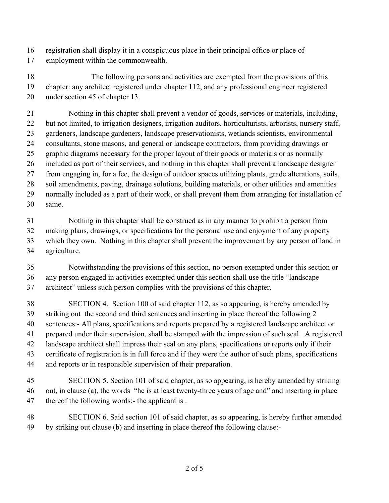- registration shall display it in a conspicuous place in their principal office or place of
- employment within the commonwealth.

 The following persons and activities are exempted from the provisions of this chapter: any architect registered under chapter 112, and any professional engineer registered under section 45 of chapter 13.

 Nothing in this chapter shall prevent a vendor of goods, services or materials, including, but not limited, to irrigation designers, irrigation auditors, horticulturists, arborists, nursery staff, gardeners, landscape gardeners, landscape preservationists, wetlands scientists, environmental consultants, stone masons, and general or landscape contractors, from providing drawings or graphic diagrams necessary for the proper layout of their goods or materials or as normally included as part of their services, and nothing in this chapter shall prevent a landscape designer from engaging in, for a fee, the design of outdoor spaces utilizing plants, grade alterations, soils, soil amendments, paving, drainage solutions, building materials, or other utilities and amenities normally included as a part of their work, or shall prevent them from arranging for installation of same.

 Nothing in this chapter shall be construed as in any manner to prohibit a person from making plans, drawings, or specifications for the personal use and enjoyment of any property which they own. Nothing in this chapter shall prevent the improvement by any person of land in agriculture.

 Notwithstanding the provisions of this section, no person exempted under this section or any person engaged in activities exempted under this section shall use the title "landscape architect" unless such person complies with the provisions of this chapter.

- SECTION 4. Section 100 of said chapter 112, as so appearing, is hereby amended by striking out the second and third sentences and inserting in place thereof the following 2 sentences:- All plans, specifications and reports prepared by a registered landscape architect or prepared under their supervision, shall be stamped with the impression of such seal. A registered landscape architect shall impress their seal on any plans, specifications or reports only if their certificate of registration is in full force and if they were the author of such plans, specifications and reports or in responsible supervision of their preparation.
- SECTION 5. Section 101 of said chapter, as so appearing, is hereby amended by striking out, in clause (a), the words "he is at least twenty-three years of age and" and inserting in place 47 thereof the following words:- the applicant is .

 SECTION 6. Said section 101 of said chapter, as so appearing, is hereby further amended by striking out clause (b) and inserting in place thereof the following clause:-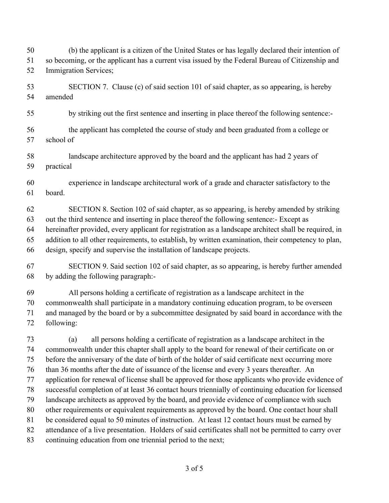(b) the applicant is a citizen of the United States or has legally declared their intention of so becoming, or the applicant has a current visa issued by the Federal Bureau of Citizenship and Immigration Services;

 SECTION 7. Clause (c) of said section 101 of said chapter, as so appearing, is hereby amended

by striking out the first sentence and inserting in place thereof the following sentence:-

- the applicant has completed the course of study and been graduated from a college or school of
- landscape architecture approved by the board and the applicant has had 2 years of practical
- experience in landscape architectural work of a grade and character satisfactory to the board.

 SECTION 8. Section 102 of said chapter, as so appearing, is hereby amended by striking out the third sentence and inserting in place thereof the following sentence:- Except as hereinafter provided, every applicant for registration as a landscape architect shall be required, in addition to all other requirements, to establish, by written examination, their competency to plan, design, specify and supervise the installation of landscape projects.

 SECTION 9. Said section 102 of said chapter, as so appearing, is hereby further amended by adding the following paragraph:-

 All persons holding a certificate of registration as a landscape architect in the commonwealth shall participate in a mandatory continuing education program, to be overseen and managed by the board or by a subcommittee designated by said board in accordance with the following:

 (a) all persons holding a certificate of registration as a landscape architect in the commonwealth under this chapter shall apply to the board for renewal of their certificate on or before the anniversary of the date of birth of the holder of said certificate next occurring more than 36 months after the date of issuance of the license and every 3 years thereafter. An application for renewal of license shall be approved for those applicants who provide evidence of successful completion of at least 36 contact hours triennially of continuing education for licensed landscape architects as approved by the board, and provide evidence of compliance with such other requirements or equivalent requirements as approved by the board. One contact hour shall be considered equal to 50 minutes of instruction. At least 12 contact hours must be earned by attendance of a live presentation. Holders of said certificates shall not be permitted to carry over continuing education from one triennial period to the next;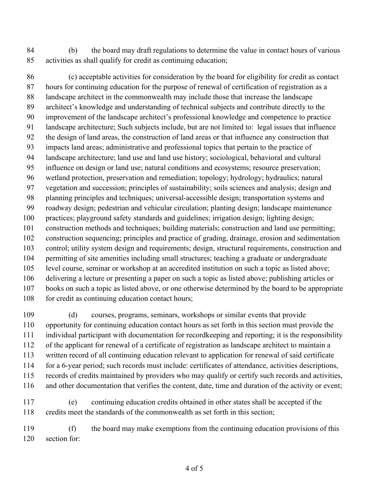(b) the board may draft regulations to determine the value in contact hours of various activities as shall qualify for credit as continuing education;

 (c) acceptable activities for consideration by the board for eligibility for credit as contact hours for continuing education for the purpose of renewal of certification of registration as a landscape architect in the commonwealth may include those that increase the landscape architect's knowledge and understanding of technical subjects and contribute directly to the improvement of the landscape architect's professional knowledge and competence to practice landscape architecture; Such subjects include, but are not limited to: legal issues that influence the design of land areas, the construction of land areas or that influence any construction that impacts land areas; administrative and professional topics that pertain to the practice of landscape architecture; land use and land use history; sociological, behavioral and cultural influence on design or land use; natural conditions and ecosystems; resource preservation; wetland protection, preservation and remediation; topology; hydrology; hydraulics; natural vegetation and succession; principles of sustainability; soils sciences and analysis; design and planning principles and techniques; universal-accessible design; transportation systems and roadway design; pedestrian and vehicular circulation; planting design; landscape maintenance practices; playground safety standards and guidelines; irrigation design; lighting design; construction methods and techniques; building materials; construction and land use permitting; construction sequencing; principles and practice of grading, drainage, erosion and sedimentation control; utility system design and requirements; design, structural requirements, construction and permitting of site amenities including small structures; teaching a graduate or undergraduate level course, seminar or workshop at an accredited institution on such a topic as listed above; delivering a lecture or presenting a paper on such a topic as listed above; publishing articles or books on such a topic as listed above, or one otherwise determined by the board to be appropriate 108 for credit as continuing education contact hours;

 (d) courses, programs, seminars, workshops or similar events that provide opportunity for continuing education contact hours as set forth in this section must provide the individual participant with documentation for recordkeeping and reporting; it is the responsibility of the applicant for renewal of a certificate of registration as landscape architect to maintain a written record of all continuing education relevant to application for renewal of said certificate for a 6-year period; such records must include: certificates of attendance, activities descriptions, records of credits maintained by providers who may qualify or certify such records and activities, and other documentation that verifies the content, date, time and duration of the activity or event;

 (e) continuing education credits obtained in other states shall be accepted if the credits meet the standards of the commonwealth as set forth in this section;

 (f) the board may make exemptions from the continuing education provisions of this section for: